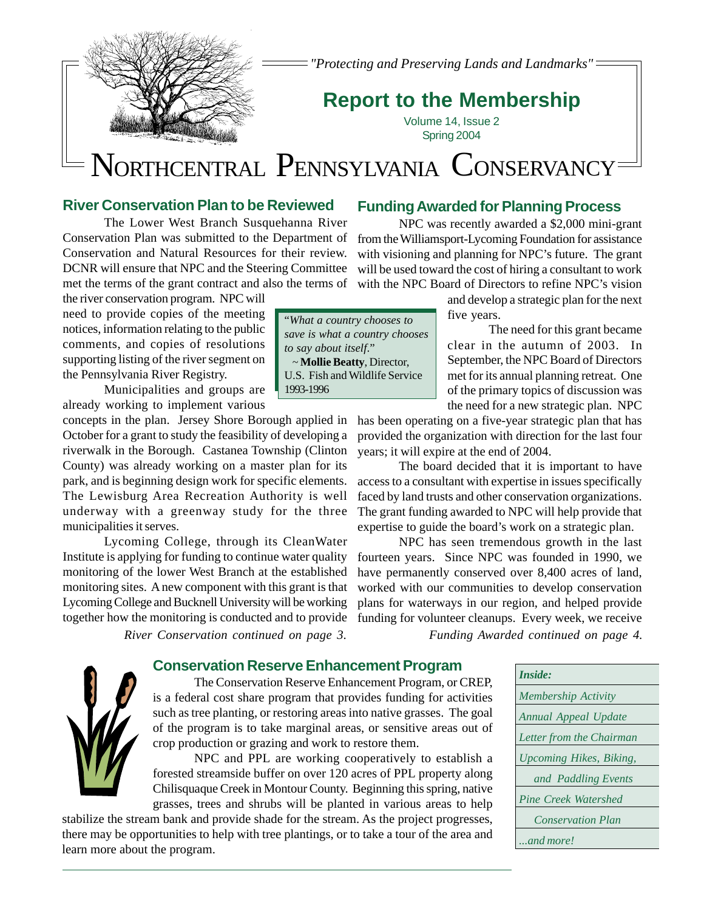

*"Protecting and Preserving Lands and Landmarks"*

## **Report to the Membership**

Volume 14, Issue 2 Spring 2004

# NORTHCENTRAL PENNSYLVANIA CONSERVANCY

#### **River Conservation Plan to be Reviewed**

The Lower West Branch Susquehanna River Conservation Plan was submitted to the Department of Conservation and Natural Resources for their review. DCNR will ensure that NPC and the Steering Committee met the terms of the grant contract and also the terms of

the river conservation program. NPC will need to provide copies of the meeting notices, information relating to the public comments, and copies of resolutions supporting listing of the river segment on the Pennsylvania River Registry.

Municipalities and groups are already working to implement various

concepts in the plan. Jersey Shore Borough applied in October for a grant to study the feasibility of developing a riverwalk in the Borough. Castanea Township (Clinton County) was already working on a master plan for its park, and is beginning design work for specific elements. The Lewisburg Area Recreation Authority is well underway with a greenway study for the three municipalities it serves.

Lycoming College, through its CleanWater Institute is applying for funding to continue water quality monitoring of the lower West Branch at the established monitoring sites. A new component with this grant is that Lycoming College and Bucknell University will be working together how the monitoring is conducted and to provide

## **Funding Awarded for Planning Process**

NPC was recently awarded a \$2,000 mini-grant from the Williamsport-Lycoming Foundation for assistance with visioning and planning for NPC's future. The grant will be used toward the cost of hiring a consultant to work with the NPC Board of Directors to refine NPC's vision

> and develop a strategic plan for the next five years.

The need for this grant became clear in the autumn of 2003. In September, the NPC Board of Directors met for its annual planning retreat. One of the primary topics of discussion was the need for a new strategic plan. NPC

has been operating on a five-year strategic plan that has provided the organization with direction for the last four years; it will expire at the end of 2004.

The board decided that it is important to have access to a consultant with expertise in issues specifically faced by land trusts and other conservation organizations. The grant funding awarded to NPC will help provide that expertise to guide the board's work on a strategic plan.

NPC has seen tremendous growth in the last fourteen years. Since NPC was founded in 1990, we have permanently conserved over 8,400 acres of land, worked with our communities to develop conservation plans for waterways in our region, and helped provide funding for volunteer cleanups. Every week, we receive *River Conservation continued on page 3. Funding Awarded continued on page 4.*

#### **Conservation Reserve Enhancement Program**



The Conservation Reserve Enhancement Program, or CREP, is a federal cost share program that provides funding for activities such as tree planting, or restoring areas into native grasses. The goal of the program is to take marginal areas, or sensitive areas out of crop production or grazing and work to restore them.

NPC and PPL are working cooperatively to establish a forested streamside buffer on over 120 acres of PPL property along Chilisquaque Creek in Montour County. Beginning this spring, native grasses, trees and shrubs will be planted in various areas to help

stabilize the stream bank and provide shade for the stream. As the project progresses, there may be opportunities to help with tree plantings, or to take a tour of the area and learn more about the program.

| <i>Inside:</i>                 |
|--------------------------------|
| <b>Membership Activity</b>     |
| Annual Appeal Update           |
| Letter from the Chairman       |
| <b>Upcoming Hikes, Biking,</b> |
| and Paddling Events            |
| Pine Creek Watershed           |
| <b>Conservation Plan</b>       |
| and more!                      |

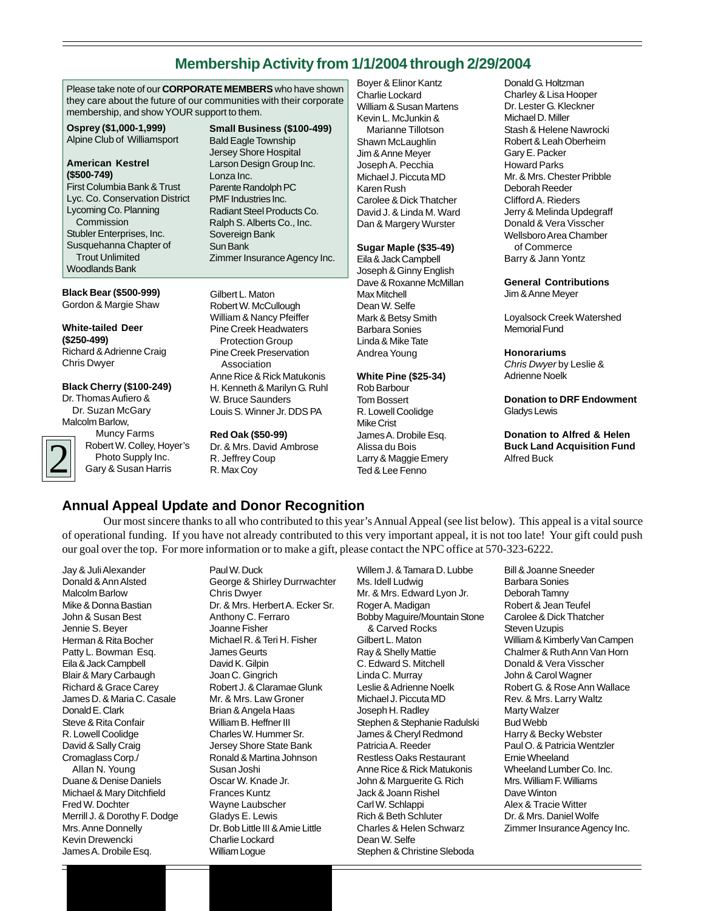## **Membership Activity from 1/1/2004 through 2/29/2004**

Please take note of our **CORPORATE MEMBERS** who have shown they care about the future of our communities with their corporate membership, and show YOUR support to them.

**Osprey (\$1,000-1,999)** Alpine Club of Williamsport

#### **American Kestrel (\$500-749)**

First Columbia Bank & Trust Lyc. Co. Conservation District Lycoming Co. Planning Commission Stubler Enterprises, Inc. Susquehanna Chapter of Trout Unlimited Woodlands Bank

#### **Black Bear (\$500-999)** Gordon & Margie Shaw

**White-tailed Deer (\$250-499)** Richard & Adrienne Craig Chris Dwyer

#### **Black Cherry (\$100-249)**

Dr. Thomas Aufiero & Dr. Suzan McGary Malcolm Barlow,

2

 Muncy Farms Robert W. Colley, Hoyer's Photo Supply Inc. Gary & Susan Harris

**Small Business (\$100-499)**

Bald Eagle Township Jersey Shore Hospital Larson Design Group Inc. Lonza Inc. Parente Randolph PC PMF Industries Inc. Radiant Steel Products Co. Ralph S. Alberts Co., Inc. Sovereign Bank Sun Bank Zimmer Insurance Agency Inc.

Gilbert L. Maton Robert W. McCullough William & Nancy Pfeiffer Pine Creek Headwaters Protection Group Pine Creek Preservation Association Anne Rice & Rick Matukonis H. Kenneth & Marilyn G. Ruhl W. Bruce Saunders Louis S. Winner Jr. DDS PA

**Red Oak (\$50-99)** Dr. & Mrs. David Ambrose R. Jeffrey Coup R. Max Coy

Boyer & Elinor Kantz Charlie Lockard William & Susan Martens Kevin L. McJunkin & Marianne Tillotson Shawn McLaughlin Jim & Anne Meyer Joseph A. Pecchia Michael J. Piccuta MD Karen Rush Carolee & Dick Thatcher David J. & Linda M. Ward Dan & Margery Wurster

#### **Sugar Maple (\$35-49)**

Eila & Jack Campbell Joseph & Ginny English Dave & Roxanne McMillan Max Mitchell Dean W. Selfe Mark & Betsy Smith Barbara Sonies Linda & Mike Tate Andrea Young

#### **White Pine (\$25-34)**

Rob Barbour Tom Bossert R. Lowell Coolidge Mike Crist James A. Drobile Esq. Alissa du Bois Larry & Maggie Emery Ted & Lee Fenno

Donald G. Holtzman Charley & Lisa Hooper Dr. Lester G. Kleckner Michael D. Miller Stash & Helene Nawrocki Robert & Leah Oberheim Gary E. Packer Howard Parks Mr. & Mrs. Chester Pribble Deborah Reeder Clifford A. Rieders Jerry & Melinda Updegraff Donald & Vera Visscher Wellsboro Area Chamber of Commerce Barry & Jann Yontz

#### **General Contributions** Jim & Anne Meyer

Loyalsock Creek Watershed Memorial Fund

#### **Honorariums**

*Chris Dwyer* by Leslie & Adrienne Noelk

**Donation to DRF Endowment** Gladys Lewis

**Donation to Alfred & Helen Buck Land Acquisition Fund** Alfred Buck

## **Annual Appeal Update and Donor Recognition**

Our most sincere thanks to all who contributed to this year's Annual Appeal (see list below). This appeal is a vital source of operational funding. If you have not already contributed to this very important appeal, it is not too late! Your gift could push our goal over the top. For more information or to make a gift, please contact the NPC office at 570-323-6222.

Jay & Juli Alexander Donald & Ann Alsted Malcolm Barlow Mike & Donna Bastian John & Susan Best Jennie S. Beyer Herman & Rita Bocher Patty L. Bowman Esq. Eila & Jack Campbell Blair & Mary Carbaugh Richard & Grace Carey James D. & Maria C. Casale Donald E. Clark Steve & Rita Confair R. Lowell Coolidge David & Sally Craig Cromaglass Corp./ Allan N. Young Duane & Denise Daniels Michael & Mary Ditchfield Fred W. Dochter Merrill J. & Dorothy F. Dodge Mrs. Anne Donnelly Kevin Drewencki James A. Drobile Esq.

Paul W. Duck George & Shirley Durrwachter Chris Dwyer Dr. & Mrs. Herbert A. Ecker Sr. Anthony C. Ferraro Joanne Fisher Michael R. & Teri H. Fisher James Geurts David K. Gilpin Joan C. Gingrich Robert J. & Claramae Glunk Mr. & Mrs. Law Groner Brian & Angela Haas William B. Heffner III Charles W. Hummer Sr. Jersey Shore State Bank Ronald & Martina Johnson Susan Joshi Oscar W. Knade Jr. Frances Kuntz Wayne Laubscher Gladys E. Lewis Dr. Bob Little III & Amie Little Charlie Lockard William Logue

Willem J. & Tamara D. Lubbe Ms. Idell Ludwig Mr. & Mrs. Edward Lyon Jr. Roger A. Madigan Bobby Maguire/Mountain Stone & Carved Rocks Gilbert L. Maton Ray & Shelly Mattie C. Edward S. Mitchell Linda C. Murray Leslie & Adrienne Noelk Michael J. Piccuta MD Joseph H. Radley Stephen & Stephanie Radulski James & Cheryl Redmond Patricia A. Reeder Restless Oaks Restaurant Anne Rice & Rick Matukonis John & Marguerite G. Rich Jack & Joann Rishel Carl W. Schlappi Rich & Beth Schluter Charles & Helen Schwarz Dean W. Selfe Stephen & Christine Sleboda

Bill & Joanne Sneeder Barbara Sonies Deborah Tamny Robert & Jean Teufel Carolee & Dick Thatcher Steven Uzupis William & Kimberly Van Campen Chalmer & Ruth Ann Van Horn Donald & Vera Visscher John & Carol Wagner Robert G. & Rose Ann Wallace Rev. & Mrs. Larry Waltz Marty Walzer Bud Webb Harry & Becky Webster Paul O. & Patricia Wentzler Ernie Wheeland Wheeland Lumber Co. Inc. Mrs. William F. Williams Dave Winton Alex & Tracie Witter Dr. & Mrs. Daniel Wolfe Zimmer Insurance Agency Inc.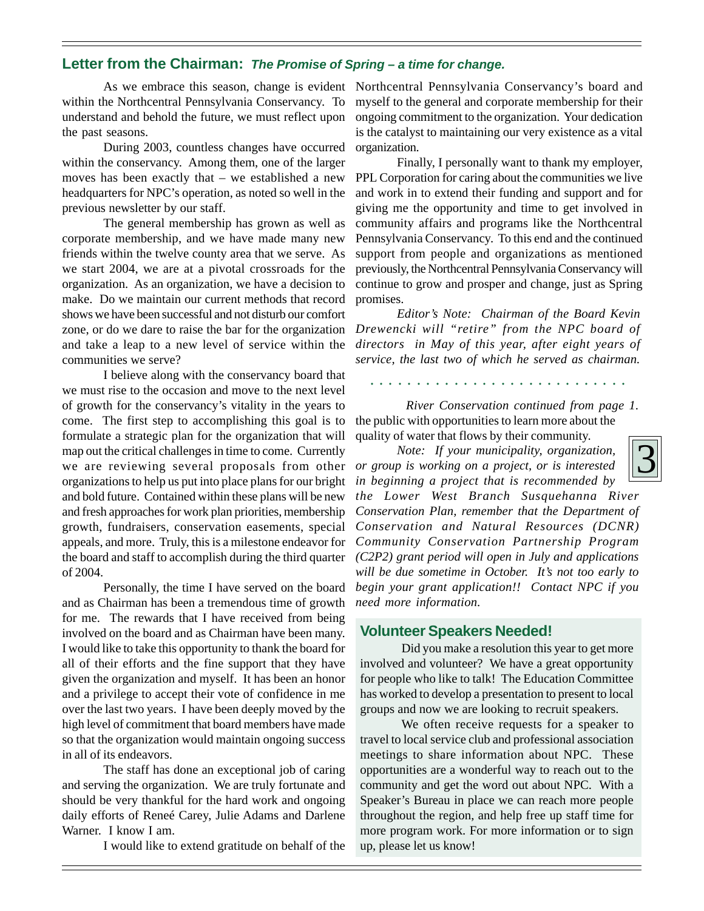## **Letter from the Chairman:** *The Promise of Spring – a time for change.*

within the Northcentral Pennsylvania Conservancy. To understand and behold the future, we must reflect upon the past seasons.

During 2003, countless changes have occurred within the conservancy. Among them, one of the larger moves has been exactly that – we established a new headquarters for NPC's operation, as noted so well in the previous newsletter by our staff.

The general membership has grown as well as corporate membership, and we have made many new friends within the twelve county area that we serve. As we start 2004, we are at a pivotal crossroads for the organization. As an organization, we have a decision to make. Do we maintain our current methods that record shows we have been successful and not disturb our comfort zone, or do we dare to raise the bar for the organization and take a leap to a new level of service within the communities we serve?

I believe along with the conservancy board that we must rise to the occasion and move to the next level of growth for the conservancy's vitality in the years to come. The first step to accomplishing this goal is to formulate a strategic plan for the organization that will map out the critical challenges in time to come. Currently we are reviewing several proposals from other organizations to help us put into place plans for our bright and bold future. Contained within these plans will be new and fresh approaches for work plan priorities, membership growth, fundraisers, conservation easements, special appeals, and more. Truly, this is a milestone endeavor for the board and staff to accomplish during the third quarter of 2004.

Personally, the time I have served on the board and as Chairman has been a tremendous time of growth for me. The rewards that I have received from being involved on the board and as Chairman have been many. I would like to take this opportunity to thank the board for all of their efforts and the fine support that they have given the organization and myself. It has been an honor and a privilege to accept their vote of confidence in me over the last two years. I have been deeply moved by the high level of commitment that board members have made so that the organization would maintain ongoing success in all of its endeavors.

The staff has done an exceptional job of caring and serving the organization. We are truly fortunate and should be very thankful for the hard work and ongoing daily efforts of Reneé Carey, Julie Adams and Darlene Warner. I know I am.

I would like to extend gratitude on behalf of the

As we embrace this season, change is evident Northcentral Pennsylvania Conservancy's board and myself to the general and corporate membership for their ongoing commitment to the organization. Your dedication is the catalyst to maintaining our very existence as a vital organization.

> Finally, I personally want to thank my employer, PPL Corporation for caring about the communities we live and work in to extend their funding and support and for giving me the opportunity and time to get involved in community affairs and programs like the Northcentral Pennsylvania Conservancy. To this end and the continued support from people and organizations as mentioned previously, the Northcentral Pennsylvania Conservancy will continue to grow and prosper and change, just as Spring promises.

> *Editor's Note: Chairman of the Board Kevin Drewencki will "retire" from the NPC board of directors in May of this year, after eight years of service, the last two of which he served as chairman.*

○○○○○○○○○○○○○○ ○○○○○○○○○○○○○○

the public with opportunities to learn more about the quality of water that flows by their community. *River Conservation continued from page 1.*

3 *Note: If your municipality, organization, or group is working on a project, or is interested in beginning a project that is recommended by*



*the Lower West Branch Susquehanna River Conservation Plan, remember that the Department of Conservation and Natural Resources (DCNR) Community Conservation Partnership Program (C2P2) grant period will open in July and applications will be due sometime in October. It's not too early to begin your grant application!! Contact NPC if you need more information.*

#### **Volunteer Speakers Needed!**

Did you make a resolution this year to get more involved and volunteer? We have a great opportunity for people who like to talk! The Education Committee has worked to develop a presentation to present to local groups and now we are looking to recruit speakers.

We often receive requests for a speaker to travel to local service club and professional association meetings to share information about NPC. These opportunities are a wonderful way to reach out to the community and get the word out about NPC. With a Speaker's Bureau in place we can reach more people throughout the region, and help free up staff time for more program work. For more information or to sign up, please let us know!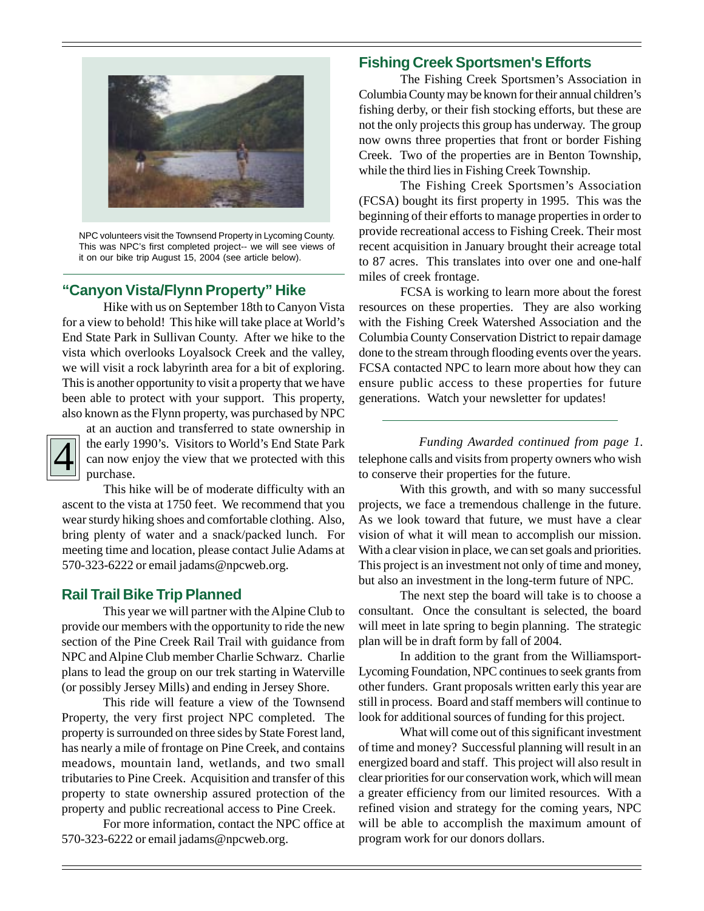

NPC volunteers visit the Townsend Property in Lycoming County. This was NPC's first completed project-- we will see views of it on our bike trip August 15, 2004 (see article below).

#### **"Canyon Vista/Flynn Property" Hike**

Hike with us on September 18th to Canyon Vista for a view to behold! This hike will take place at World's End State Park in Sullivan County. After we hike to the vista which overlooks Loyalsock Creek and the valley, we will visit a rock labyrinth area for a bit of exploring. This is another opportunity to visit a property that we have been able to protect with your support. This property, also known as the Flynn property, was purchased by NPC



at an auction and transferred to state ownership in the early 1990's. Visitors to World's End State Park can now enjoy the view that we protected with this purchase.

This hike will be of moderate difficulty with an ascent to the vista at 1750 feet. We recommend that you wear sturdy hiking shoes and comfortable clothing. Also, bring plenty of water and a snack/packed lunch. For meeting time and location, please contact Julie Adams at 570-323-6222 or email jadams@npcweb.org.

#### **Rail Trail Bike Trip Planned**

This year we will partner with the Alpine Club to provide our members with the opportunity to ride the new section of the Pine Creek Rail Trail with guidance from NPC and Alpine Club member Charlie Schwarz. Charlie plans to lead the group on our trek starting in Waterville (or possibly Jersey Mills) and ending in Jersey Shore.

This ride will feature a view of the Townsend Property, the very first project NPC completed. The property is surrounded on three sides by State Forest land, has nearly a mile of frontage on Pine Creek, and contains meadows, mountain land, wetlands, and two small tributaries to Pine Creek. Acquisition and transfer of this property to state ownership assured protection of the property and public recreational access to Pine Creek.

For more information, contact the NPC office at 570-323-6222 or email jadams@npcweb.org.

### **Fishing Creek Sportsmen's Efforts**

The Fishing Creek Sportsmen's Association in Columbia County may be known for their annual children's fishing derby, or their fish stocking efforts, but these are not the only projects this group has underway. The group now owns three properties that front or border Fishing Creek. Two of the properties are in Benton Township, while the third lies in Fishing Creek Township.

The Fishing Creek Sportsmen's Association (FCSA) bought its first property in 1995. This was the beginning of their efforts to manage properties in order to provide recreational access to Fishing Creek. Their most recent acquisition in January brought their acreage total to 87 acres. This translates into over one and one-half miles of creek frontage.

FCSA is working to learn more about the forest resources on these properties. They are also working with the Fishing Creek Watershed Association and the Columbia County Conservation District to repair damage done to the stream through flooding events over the years. FCSA contacted NPC to learn more about how they can ensure public access to these properties for future generations. Watch your newsletter for updates!

telephone calls and visits from property owners who wish to conserve their properties for the future. The early 1990's. Visitors to World's End State Park Funding Awarded continued from page 1.<br>
can now enjoy the view that we protected with this telephone calls and visits from property owners who wish to conserve their pro

> With this growth, and with so many successful projects, we face a tremendous challenge in the future. As we look toward that future, we must have a clear vision of what it will mean to accomplish our mission. With a clear vision in place, we can set goals and priorities. This project is an investment not only of time and money, but also an investment in the long-term future of NPC.

> The next step the board will take is to choose a consultant. Once the consultant is selected, the board will meet in late spring to begin planning. The strategic plan will be in draft form by fall of 2004.

> In addition to the grant from the Williamsport-Lycoming Foundation, NPC continues to seek grants from other funders. Grant proposals written early this year are still in process. Board and staff members will continue to look for additional sources of funding for this project.

> What will come out of this significant investment of time and money? Successful planning will result in an energized board and staff. This project will also result in clear priorities for our conservation work, which will mean a greater efficiency from our limited resources. With a refined vision and strategy for the coming years, NPC will be able to accomplish the maximum amount of program work for our donors dollars.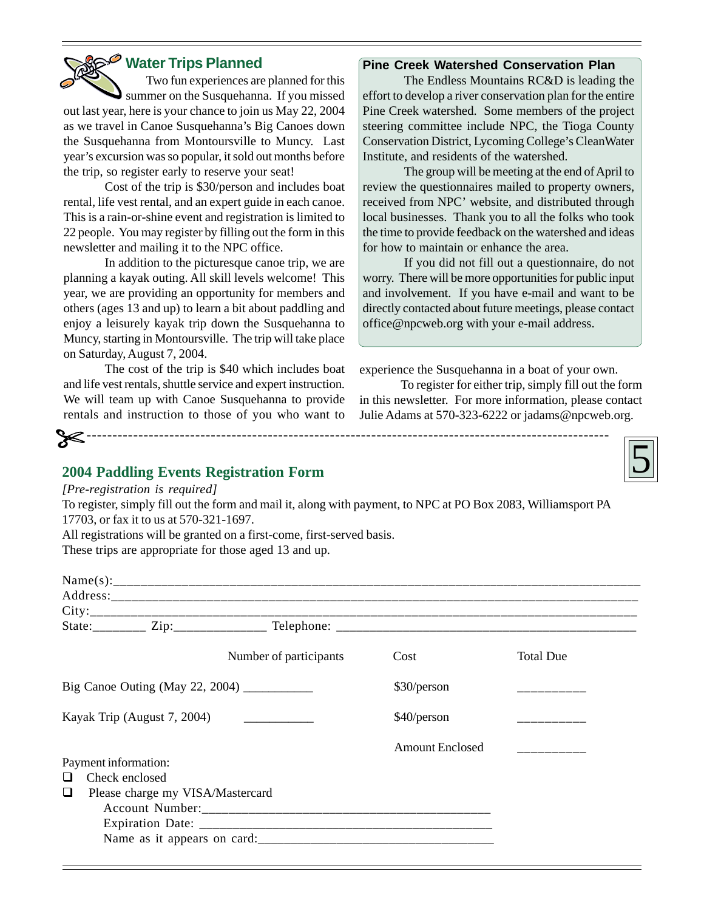## **Water Trips Planned**

Two fun experiences are planned for this summer on the Susquehanna. If you missed out last year, here is your chance to join us May 22, 2004 as we travel in Canoe Susquehanna's Big Canoes down the Susquehanna from Montoursville to Muncy. Last year's excursion was so popular, it sold out months before the trip, so register early to reserve your seat!

Cost of the trip is \$30/person and includes boat rental, life vest rental, and an expert guide in each canoe. This is a rain-or-shine event and registration is limited to 22 people. You may register by filling out the form in this newsletter and mailing it to the NPC office.

In addition to the picturesque canoe trip, we are planning a kayak outing. All skill levels welcome! This year, we are providing an opportunity for members and others (ages 13 and up) to learn a bit about paddling and enjoy a leisurely kayak trip down the Susquehanna to Muncy, starting in Montoursville. The trip will take place on Saturday, August 7, 2004.

The cost of the trip is \$40 which includes boat and life vest rentals, shuttle service and expert instruction. We will team up with Canoe Susquehanna to provide rentals and instruction to those of you who want to

#### **Pine Creek Watershed Conservation Plan**

The Endless Mountains RC&D is leading the effort to develop a river conservation plan for the entire Pine Creek watershed. Some members of the project steering committee include NPC, the Tioga County Conservation District, Lycoming College's CleanWater Institute, and residents of the watershed.

The group will be meeting at the end of April to review the questionnaires mailed to property owners, received from NPC' website, and distributed through local businesses. Thank you to all the folks who took the time to provide feedback on the watershed and ideas for how to maintain or enhance the area.

If you did not fill out a questionnaire, do not worry. There will be more opportunities for public input and involvement. If you have e-mail and want to be directly contacted about future meetings, please contact office@npcweb.org with your e-mail address.

experience the Susquehanna in a boat of your own.

To register for either trip, simply fill out the form in this newsletter. For more information, please contact Julie Adams at 570-323-6222 or jadams@npcweb.org.



#### **2004 Paddling Events Registration Form**

*[Pre-registration is required]*

To register, simply fill out the form and mail it, along with payment, to NPC at PO Box 2083, Williamsport PA 17703, or fax it to us at 570-321-1697. All registrations will be granted on a first-come, first-served basis.

-----------------------------------------------------------------------------------------------------

These trips are appropriate for those aged 13 and up.

|                                                                                  |  | Number of participants | Cost                   | <b>Total Due</b> |
|----------------------------------------------------------------------------------|--|------------------------|------------------------|------------------|
| Big Canoe Outing (May 22, 2004) $\frac{\phantom{+}}{2}$                          |  |                        | \$30/person            |                  |
| Kayak Trip (August 7, 2004)<br><u> 1986 - Jan Samuel Barbara, politik e</u> ta p |  |                        | \$40/person            |                  |
|                                                                                  |  |                        | <b>Amount Enclosed</b> |                  |
| Payment information:                                                             |  |                        |                        |                  |
| Check enclosed<br>□                                                              |  |                        |                        |                  |
| Please charge my VISA/Mastercard<br>⊔                                            |  |                        |                        |                  |
|                                                                                  |  |                        |                        |                  |
|                                                                                  |  |                        |                        |                  |
|                                                                                  |  |                        |                        |                  |